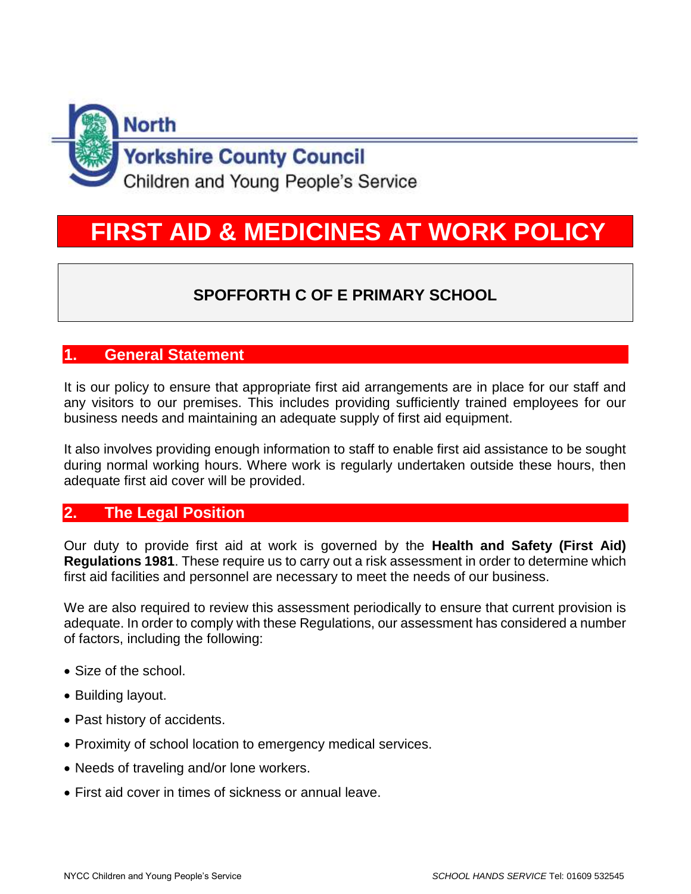

# **FIRST AID & MEDICINES AT WORK POLICY**

# **SPOFFORTH C OF E PRIMARY SCHOOL**

## **1. General Statement**

It is our policy to ensure that appropriate first aid arrangements are in place for our staff and any visitors to our premises. This includes providing sufficiently trained employees for our business needs and maintaining an adequate supply of first aid equipment.

It also involves providing enough information to staff to enable first aid assistance to be sought during normal working hours. Where work is regularly undertaken outside these hours, then adequate first aid cover will be provided.

#### **2. The Legal Position**

Our duty to provide first aid at work is governed by the **Health and Safety (First Aid) Regulations 1981**. These require us to carry out a risk assessment in order to determine which first aid facilities and personnel are necessary to meet the needs of our business.

We are also required to review this assessment periodically to ensure that current provision is adequate. In order to comply with these Regulations, our assessment has considered a number of factors, including the following:

- Size of the school.
- Building layout.
- Past history of accidents.
- Proximity of school location to emergency medical services.
- Needs of traveling and/or lone workers.
- First aid cover in times of sickness or annual leave.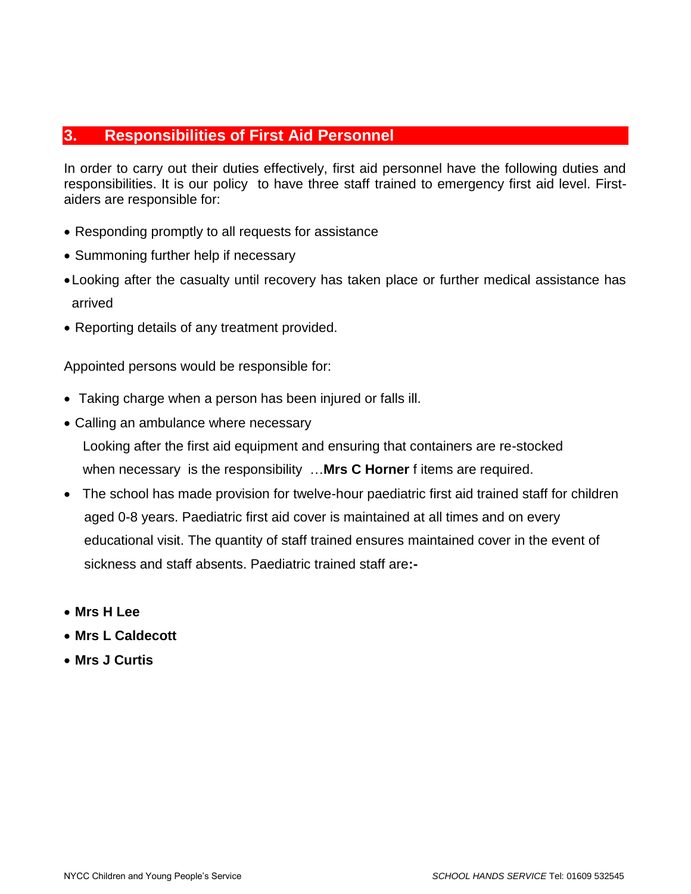### **3. Responsibilities of First Aid Personnel**

In order to carry out their duties effectively, first aid personnel have the following duties and responsibilities. It is our policy to have three staff trained to emergency first aid level. Firstaiders are responsible for:

- Responding promptly to all requests for assistance
- Summoning further help if necessary
- •Looking after the casualty until recovery has taken place or further medical assistance has arrived
- Reporting details of any treatment provided.

Appointed persons would be responsible for:

- Taking charge when a person has been injured or falls ill.
- Calling an ambulance where necessary

 Looking after the first aid equipment and ensuring that containers are re-stocked when necessary is the responsibility …**Mrs C Horner** f items are required.

- The school has made provision for twelve-hour paediatric first aid trained staff for children aged 0-8 years. Paediatric first aid cover is maintained at all times and on every educational visit. The quantity of staff trained ensures maintained cover in the event of sickness and staff absents. Paediatric trained staff are**:-**
- **Mrs H Lee**
- **Mrs L Caldecott**
- **Mrs J Curtis**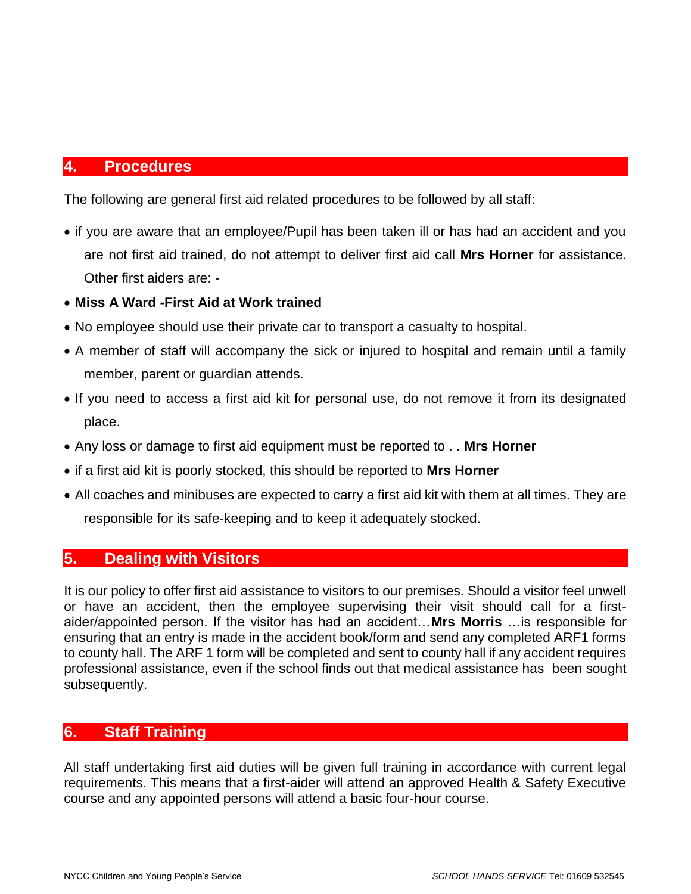#### **4. Procedures**

The following are general first aid related procedures to be followed by all staff:

- if you are aware that an employee/Pupil has been taken ill or has had an accident and you are not first aid trained, do not attempt to deliver first aid call **Mrs Horner** for assistance. Other first aiders are: -
- **Miss A Ward -First Aid at Work trained**
- No employee should use their private car to transport a casualty to hospital.
- A member of staff will accompany the sick or injured to hospital and remain until a family member, parent or guardian attends.
- If you need to access a first aid kit for personal use, do not remove it from its designated place.
- Any loss or damage to first aid equipment must be reported to . . **Mrs Horner**
- if a first aid kit is poorly stocked, this should be reported to **Mrs Horner**
- All coaches and minibuses are expected to carry a first aid kit with them at all times. They are responsible for its safe-keeping and to keep it adequately stocked.

#### **5. Dealing with Visitors**

It is our policy to offer first aid assistance to visitors to our premises. Should a visitor feel unwell or have an accident, then the employee supervising their visit should call for a firstaider/appointed person. If the visitor has had an accident…**Mrs Morris** …is responsible for ensuring that an entry is made in the accident book/form and send any completed ARF1 forms to county hall. The ARF 1 form will be completed and sent to county hall if any accident requires professional assistance, even if the school finds out that medical assistance has been sought subsequently.

#### **6. Staff Training**

All staff undertaking first aid duties will be given full training in accordance with current legal requirements. This means that a first-aider will attend an approved Health & Safety Executive course and any appointed persons will attend a basic four-hour course.